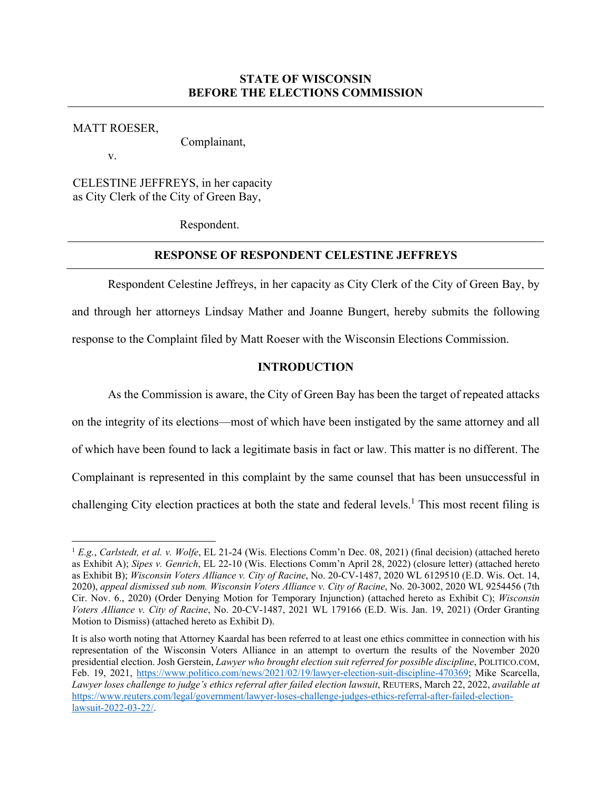## **STATE OF WISCONSIN BEFORE THE ELECTIONS COMMISSION**

MATT ROESER,

Complainant,

v.

CELESTINE JEFFREYS, in her capacity as City Clerk of the City of Green Bay,

Respondent.

# **RESPONSE OF RESPONDENT CELESTINE JEFFREYS**

Respondent Celestine Jeffreys, in her capacity as City Clerk of the City of Green Bay, by and through her attorneys Lindsay Mather and Joanne Bungert, hereby submits the following response to the Complaint filed by Matt Roeser with the Wisconsin Elections Commission.

## **INTRODUCTION**

As the Commission is aware, the City of Green Bay has been the target of repeated attacks on the integrity of its elections—most of which have been instigated by the same attorney and all of which have been found to lack a legitimate basis in fact or law. This matter is no different. The Complainant is represented in this complaint by the same counsel that has been unsuccessful in challenging City election practices at both the state and federal levels.<sup>1</sup> This most recent filing is

<sup>1</sup> *E.g.*, *Carlstedt, et al. v. Wolfe*, EL 21-24 (Wis. Elections Comm'n Dec. 08, 2021) (final decision) (attached hereto as Exhibit A); *Sipes v. Genrich*, EL 22-10 (Wis. Elections Comm'n April 28, 2022) (closure letter) (attached hereto as Exhibit B); *Wisconsin Voters Alliance v. City of Racine*, No. 20-CV-1487, 2020 WL 6129510 (E.D. Wis. Oct. 14, 2020), *appeal dismissed sub nom. Wisconsin Voters Alliance v. City of Racine*, No. 20-3002, 2020 WL 9254456 (7th Cir. Nov. 6., 2020) (Order Denying Motion for Temporary Injunction) (attached hereto as Exhibit C); *Wisconsin Voters Alliance v. City of Racine*, No. 20-CV-1487, 2021 WL 179166 (E.D. Wis. Jan. 19, 2021) (Order Granting Motion to Dismiss) (attached hereto as Exhibit D).

It is also worth noting that Attorney Kaardal has been referred to at least one ethics committee in connection with his representation of the Wisconsin Voters Alliance in an attempt to overturn the results of the November 2020 presidential election. Josh Gerstein, *Lawyer who brought election suit referred for possible discipline*, POLITICO.COM, Feb. 19, 2021, https://www.politico.com/news/2021/02/19/lawyer-election-suit-discipline-470369; Mike Scarcella, *Lawyer loses challenge to judge's ethics referral after failed election lawsuit*, REUTERS, March 22, 2022, *available at*  https://www.reuters.com/legal/government/lawyer-loses-challenge-judges-ethics-referral-after-failed-electionlawsuit-2022-03-22/.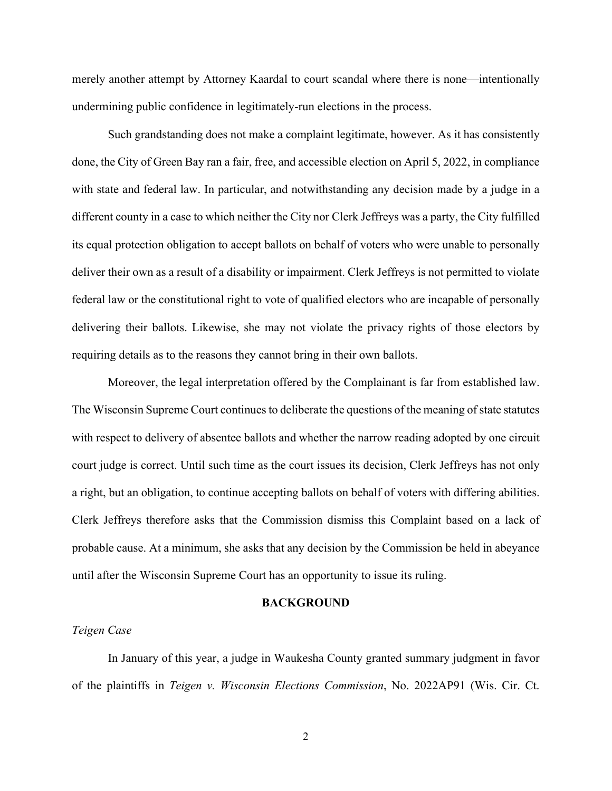merely another attempt by Attorney Kaardal to court scandal where there is none—intentionally undermining public confidence in legitimately-run elections in the process.

Such grandstanding does not make a complaint legitimate, however. As it has consistently done, the City of Green Bay ran a fair, free, and accessible election on April 5, 2022, in compliance with state and federal law. In particular, and notwithstanding any decision made by a judge in a different county in a case to which neither the City nor Clerk Jeffreys was a party, the City fulfilled its equal protection obligation to accept ballots on behalf of voters who were unable to personally deliver their own as a result of a disability or impairment. Clerk Jeffreys is not permitted to violate federal law or the constitutional right to vote of qualified electors who are incapable of personally delivering their ballots. Likewise, she may not violate the privacy rights of those electors by requiring details as to the reasons they cannot bring in their own ballots.

Moreover, the legal interpretation offered by the Complainant is far from established law. The Wisconsin Supreme Court continues to deliberate the questions of the meaning of state statutes with respect to delivery of absentee ballots and whether the narrow reading adopted by one circuit court judge is correct. Until such time as the court issues its decision, Clerk Jeffreys has not only a right, but an obligation, to continue accepting ballots on behalf of voters with differing abilities. Clerk Jeffreys therefore asks that the Commission dismiss this Complaint based on a lack of probable cause. At a minimum, she asks that any decision by the Commission be held in abeyance until after the Wisconsin Supreme Court has an opportunity to issue its ruling.

#### **BACKGROUND**

### *Teigen Case*

In January of this year, a judge in Waukesha County granted summary judgment in favor of the plaintiffs in *Teigen v. Wisconsin Elections Commission*, No. 2022AP91 (Wis. Cir. Ct.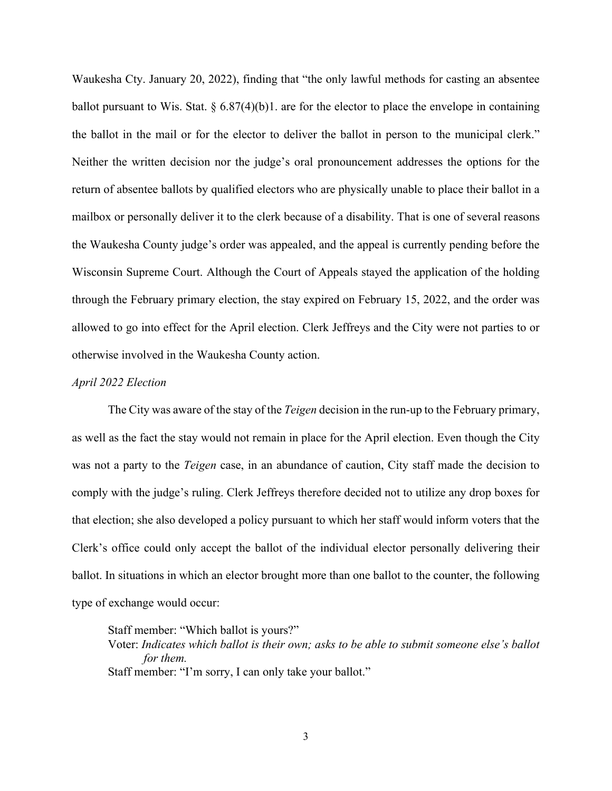Waukesha Cty. January 20, 2022), finding that "the only lawful methods for casting an absentee ballot pursuant to Wis. Stat.  $\S 6.87(4)(b)$ . are for the elector to place the envelope in containing the ballot in the mail or for the elector to deliver the ballot in person to the municipal clerk." Neither the written decision nor the judge's oral pronouncement addresses the options for the return of absentee ballots by qualified electors who are physically unable to place their ballot in a mailbox or personally deliver it to the clerk because of a disability. That is one of several reasons the Waukesha County judge's order was appealed, and the appeal is currently pending before the Wisconsin Supreme Court. Although the Court of Appeals stayed the application of the holding through the February primary election, the stay expired on February 15, 2022, and the order was allowed to go into effect for the April election. Clerk Jeffreys and the City were not parties to or otherwise involved in the Waukesha County action.

#### *April 2022 Election*

The City was aware of the stay of the *Teigen* decision in the run-up to the February primary, as well as the fact the stay would not remain in place for the April election. Even though the City was not a party to the *Teigen* case, in an abundance of caution, City staff made the decision to comply with the judge's ruling. Clerk Jeffreys therefore decided not to utilize any drop boxes for that election; she also developed a policy pursuant to which her staff would inform voters that the Clerk's office could only accept the ballot of the individual elector personally delivering their ballot. In situations in which an elector brought more than one ballot to the counter, the following type of exchange would occur:

Staff member: "Which ballot is yours?"

Voter: *Indicates which ballot is their own; asks to be able to submit someone else's ballot for them.* Staff member: "I'm sorry, I can only take your ballot."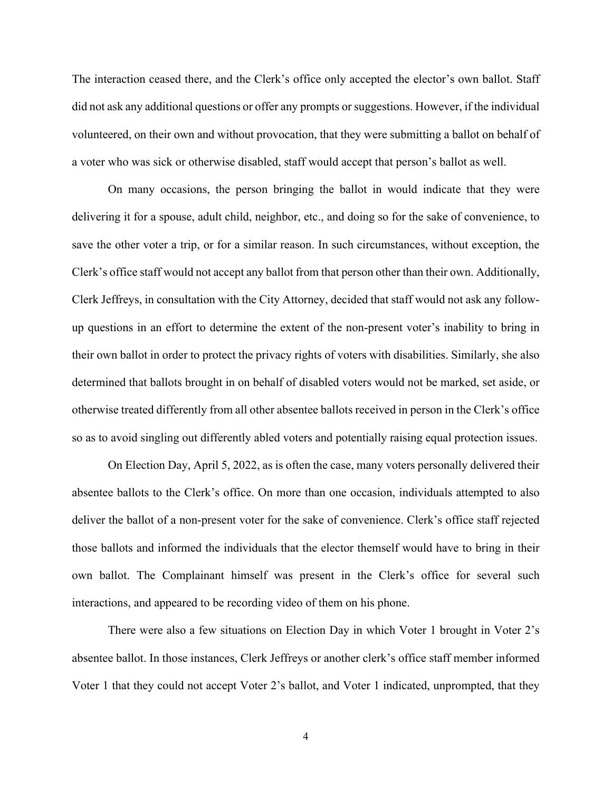The interaction ceased there, and the Clerk's office only accepted the elector's own ballot. Staff did not ask any additional questions or offer any prompts or suggestions. However, if the individual volunteered, on their own and without provocation, that they were submitting a ballot on behalf of a voter who was sick or otherwise disabled, staff would accept that person's ballot as well.

On many occasions, the person bringing the ballot in would indicate that they were delivering it for a spouse, adult child, neighbor, etc., and doing so for the sake of convenience, to save the other voter a trip, or for a similar reason. In such circumstances, without exception, the Clerk's office staff would not accept any ballot from that person other than their own. Additionally, Clerk Jeffreys, in consultation with the City Attorney, decided that staff would not ask any followup questions in an effort to determine the extent of the non-present voter's inability to bring in their own ballot in order to protect the privacy rights of voters with disabilities. Similarly, she also determined that ballots brought in on behalf of disabled voters would not be marked, set aside, or otherwise treated differently from all other absentee ballots received in person in the Clerk's office so as to avoid singling out differently abled voters and potentially raising equal protection issues.

On Election Day, April 5, 2022, as is often the case, many voters personally delivered their absentee ballots to the Clerk's office. On more than one occasion, individuals attempted to also deliver the ballot of a non-present voter for the sake of convenience. Clerk's office staff rejected those ballots and informed the individuals that the elector themself would have to bring in their own ballot. The Complainant himself was present in the Clerk's office for several such interactions, and appeared to be recording video of them on his phone.

There were also a few situations on Election Day in which Voter 1 brought in Voter 2's absentee ballot. In those instances, Clerk Jeffreys or another clerk's office staff member informed Voter 1 that they could not accept Voter 2's ballot, and Voter 1 indicated, unprompted, that they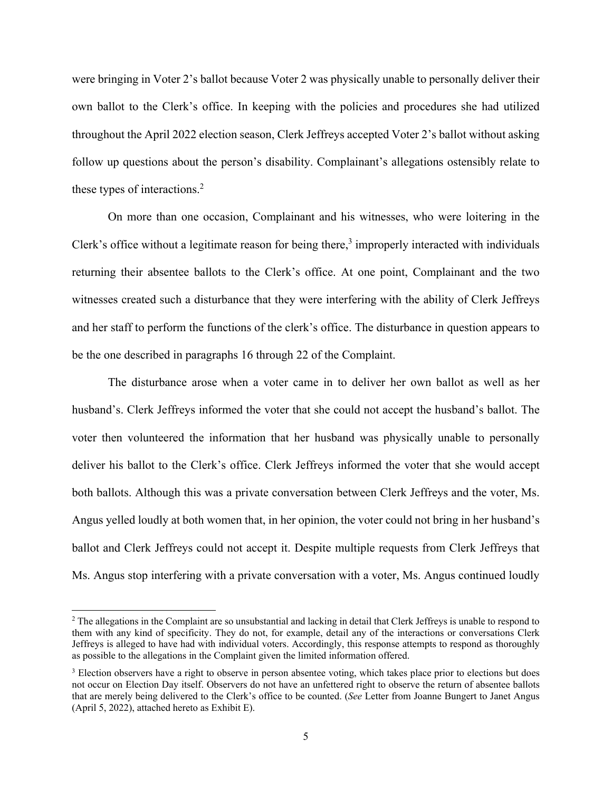were bringing in Voter 2's ballot because Voter 2 was physically unable to personally deliver their own ballot to the Clerk's office. In keeping with the policies and procedures she had utilized throughout the April 2022 election season, Clerk Jeffreys accepted Voter 2's ballot without asking follow up questions about the person's disability. Complainant's allegations ostensibly relate to these types of interactions. $2$ 

On more than one occasion, Complainant and his witnesses, who were loitering in the Clerk's office without a legitimate reason for being there,<sup>3</sup> improperly interacted with individuals returning their absentee ballots to the Clerk's office. At one point, Complainant and the two witnesses created such a disturbance that they were interfering with the ability of Clerk Jeffreys and her staff to perform the functions of the clerk's office. The disturbance in question appears to be the one described in paragraphs 16 through 22 of the Complaint.

The disturbance arose when a voter came in to deliver her own ballot as well as her husband's. Clerk Jeffreys informed the voter that she could not accept the husband's ballot. The voter then volunteered the information that her husband was physically unable to personally deliver his ballot to the Clerk's office. Clerk Jeffreys informed the voter that she would accept both ballots. Although this was a private conversation between Clerk Jeffreys and the voter, Ms. Angus yelled loudly at both women that, in her opinion, the voter could not bring in her husband's ballot and Clerk Jeffreys could not accept it. Despite multiple requests from Clerk Jeffreys that Ms. Angus stop interfering with a private conversation with a voter, Ms. Angus continued loudly

 $2$  The allegations in the Complaint are so unsubstantial and lacking in detail that Clerk Jeffreys is unable to respond to them with any kind of specificity. They do not, for example, detail any of the interactions or conversations Clerk Jeffreys is alleged to have had with individual voters. Accordingly, this response attempts to respond as thoroughly as possible to the allegations in the Complaint given the limited information offered.

<sup>&</sup>lt;sup>3</sup> Election observers have a right to observe in person absentee voting, which takes place prior to elections but does not occur on Election Day itself. Observers do not have an unfettered right to observe the return of absentee ballots that are merely being delivered to the Clerk's office to be counted. (*See* Letter from Joanne Bungert to Janet Angus (April 5, 2022), attached hereto as Exhibit E).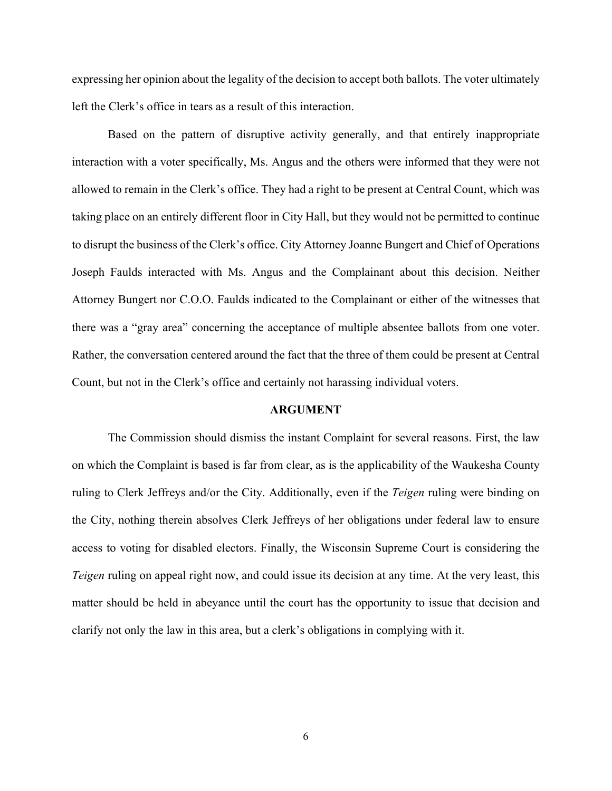expressing her opinion about the legality of the decision to accept both ballots. The voter ultimately left the Clerk's office in tears as a result of this interaction.

Based on the pattern of disruptive activity generally, and that entirely inappropriate interaction with a voter specifically, Ms. Angus and the others were informed that they were not allowed to remain in the Clerk's office. They had a right to be present at Central Count, which was taking place on an entirely different floor in City Hall, but they would not be permitted to continue to disrupt the business of the Clerk's office. City Attorney Joanne Bungert and Chief of Operations Joseph Faulds interacted with Ms. Angus and the Complainant about this decision. Neither Attorney Bungert nor C.O.O. Faulds indicated to the Complainant or either of the witnesses that there was a "gray area" concerning the acceptance of multiple absentee ballots from one voter. Rather, the conversation centered around the fact that the three of them could be present at Central Count, but not in the Clerk's office and certainly not harassing individual voters.

#### **ARGUMENT**

The Commission should dismiss the instant Complaint for several reasons. First, the law on which the Complaint is based is far from clear, as is the applicability of the Waukesha County ruling to Clerk Jeffreys and/or the City. Additionally, even if the *Teigen* ruling were binding on the City, nothing therein absolves Clerk Jeffreys of her obligations under federal law to ensure access to voting for disabled electors. Finally, the Wisconsin Supreme Court is considering the *Teigen* ruling on appeal right now, and could issue its decision at any time. At the very least, this matter should be held in abeyance until the court has the opportunity to issue that decision and clarify not only the law in this area, but a clerk's obligations in complying with it.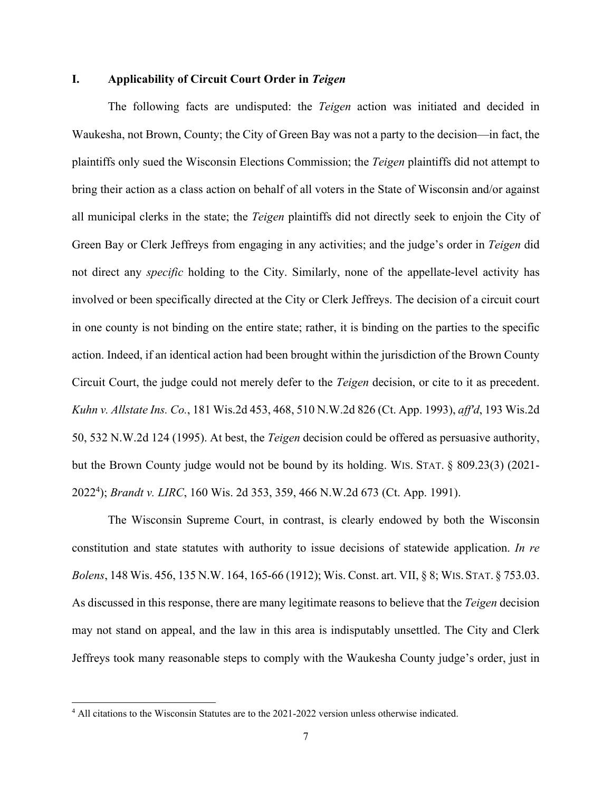### **I. Applicability of Circuit Court Order in** *Teigen*

The following facts are undisputed: the *Teigen* action was initiated and decided in Waukesha, not Brown, County; the City of Green Bay was not a party to the decision—in fact, the plaintiffs only sued the Wisconsin Elections Commission; the *Teigen* plaintiffs did not attempt to bring their action as a class action on behalf of all voters in the State of Wisconsin and/or against all municipal clerks in the state; the *Teigen* plaintiffs did not directly seek to enjoin the City of Green Bay or Clerk Jeffreys from engaging in any activities; and the judge's order in *Teigen* did not direct any *specific* holding to the City. Similarly, none of the appellate-level activity has involved or been specifically directed at the City or Clerk Jeffreys. The decision of a circuit court in one county is not binding on the entire state; rather, it is binding on the parties to the specific action. Indeed, if an identical action had been brought within the jurisdiction of the Brown County Circuit Court, the judge could not merely defer to the *Teigen* decision, or cite to it as precedent. *Kuhn v. Allstate Ins. Co.*, 181 Wis.2d 453, 468, 510 N.W.2d 826 (Ct. App. 1993), *aff'd*, 193 Wis.2d 50, 532 N.W.2d 124 (1995). At best, the *Teigen* decision could be offered as persuasive authority, but the Brown County judge would not be bound by its holding. WIS. STAT. § 809.23(3) (2021- 20224 ); *Brandt v. LIRC*, 160 Wis. 2d 353, 359, 466 N.W.2d 673 (Ct. App. 1991).

The Wisconsin Supreme Court, in contrast, is clearly endowed by both the Wisconsin constitution and state statutes with authority to issue decisions of statewide application. *In re Bolens*, 148 Wis. 456, 135 N.W. 164, 165-66 (1912); Wis. Const. art. VII, § 8; WIS. STAT. § 753.03. As discussed in this response, there are many legitimate reasons to believe that the *Teigen* decision may not stand on appeal, and the law in this area is indisputably unsettled. The City and Clerk Jeffreys took many reasonable steps to comply with the Waukesha County judge's order, just in

<sup>4</sup> All citations to the Wisconsin Statutes are to the 2021-2022 version unless otherwise indicated.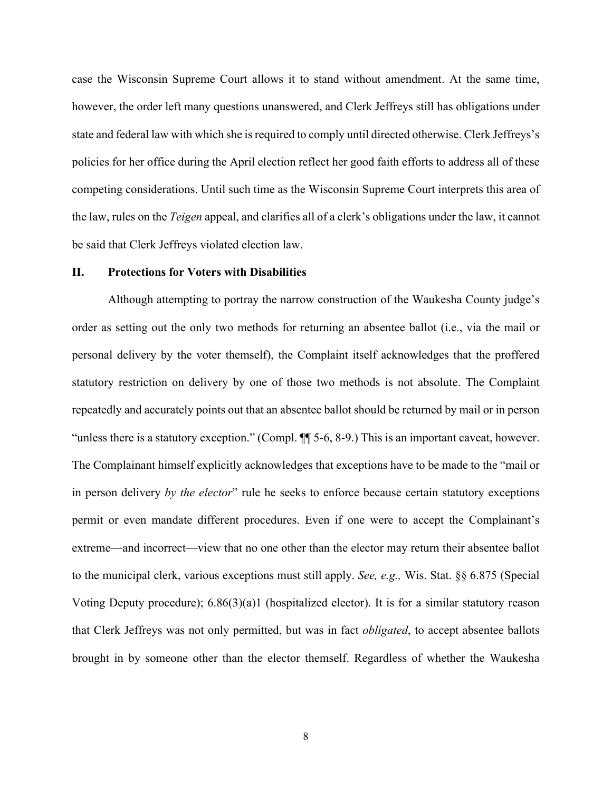case the Wisconsin Supreme Court allows it to stand without amendment. At the same time, however, the order left many questions unanswered, and Clerk Jeffreys still has obligations under state and federal law with which she is required to comply until directed otherwise. Clerk Jeffreys's policies for her office during the April election reflect her good faith efforts to address all of these competing considerations. Until such time as the Wisconsin Supreme Court interprets this area of the law, rules on the *Teigen* appeal, and clarifies all of a clerk's obligations under the law, it cannot be said that Clerk Jeffreys violated election law.

### **II. Protections for Voters with Disabilities**

Although attempting to portray the narrow construction of the Waukesha County judge's order as setting out the only two methods for returning an absentee ballot (i.e., via the mail or personal delivery by the voter themself), the Complaint itself acknowledges that the proffered statutory restriction on delivery by one of those two methods is not absolute. The Complaint repeatedly and accurately points out that an absentee ballot should be returned by mail or in person "unless there is a statutory exception." (Compl. ¶¶ 5-6, 8-9.) This is an important caveat, however. The Complainant himself explicitly acknowledges that exceptions have to be made to the "mail or in person delivery *by the elector*" rule he seeks to enforce because certain statutory exceptions permit or even mandate different procedures. Even if one were to accept the Complainant's extreme—and incorrect—view that no one other than the elector may return their absentee ballot to the municipal clerk, various exceptions must still apply. *See, e.g.,* Wis. Stat. §§ 6.875 (Special Voting Deputy procedure); 6.86(3)(a)1 (hospitalized elector). It is for a similar statutory reason that Clerk Jeffreys was not only permitted, but was in fact *obligated*, to accept absentee ballots brought in by someone other than the elector themself. Regardless of whether the Waukesha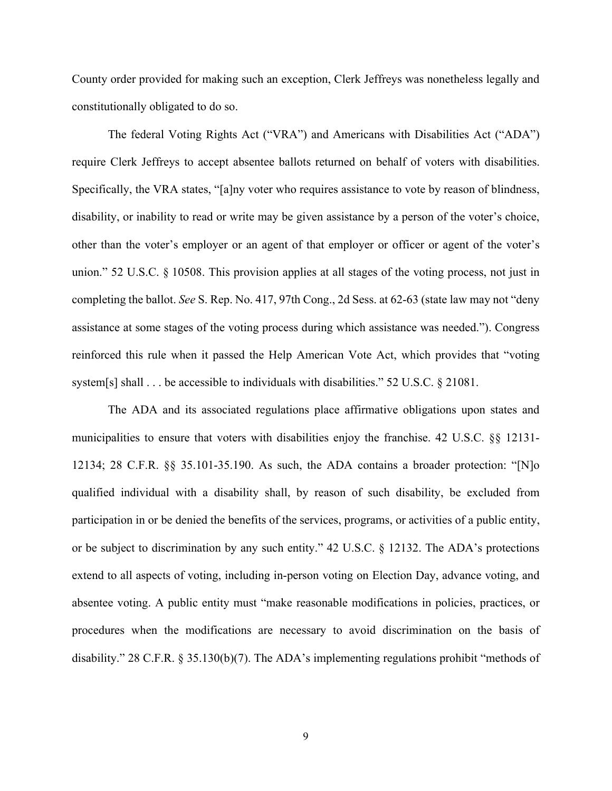County order provided for making such an exception, Clerk Jeffreys was nonetheless legally and constitutionally obligated to do so.

The federal Voting Rights Act ("VRA") and Americans with Disabilities Act ("ADA") require Clerk Jeffreys to accept absentee ballots returned on behalf of voters with disabilities. Specifically, the VRA states, "[a]ny voter who requires assistance to vote by reason of blindness, disability, or inability to read or write may be given assistance by a person of the voter's choice, other than the voter's employer or an agent of that employer or officer or agent of the voter's union." 52 U.S.C. § 10508. This provision applies at all stages of the voting process, not just in completing the ballot. *See* S. Rep. No. 417, 97th Cong., 2d Sess. at 62-63 (state law may not "deny assistance at some stages of the voting process during which assistance was needed."). Congress reinforced this rule when it passed the Help American Vote Act, which provides that "voting system[s] shall . . . be accessible to individuals with disabilities." 52 U.S.C. § 21081.

The ADA and its associated regulations place affirmative obligations upon states and municipalities to ensure that voters with disabilities enjoy the franchise. 42 U.S.C. §§ 12131- 12134; 28 C.F.R. §§ 35.101-35.190. As such, the ADA contains a broader protection: "[N]o qualified individual with a disability shall, by reason of such disability, be excluded from participation in or be denied the benefits of the services, programs, or activities of a public entity, or be subject to discrimination by any such entity." 42 U.S.C. § 12132. The ADA's protections extend to all aspects of voting, including in-person voting on Election Day, advance voting, and absentee voting. A public entity must "make reasonable modifications in policies, practices, or procedures when the modifications are necessary to avoid discrimination on the basis of disability." 28 C.F.R. § 35.130(b)(7). The ADA's implementing regulations prohibit "methods of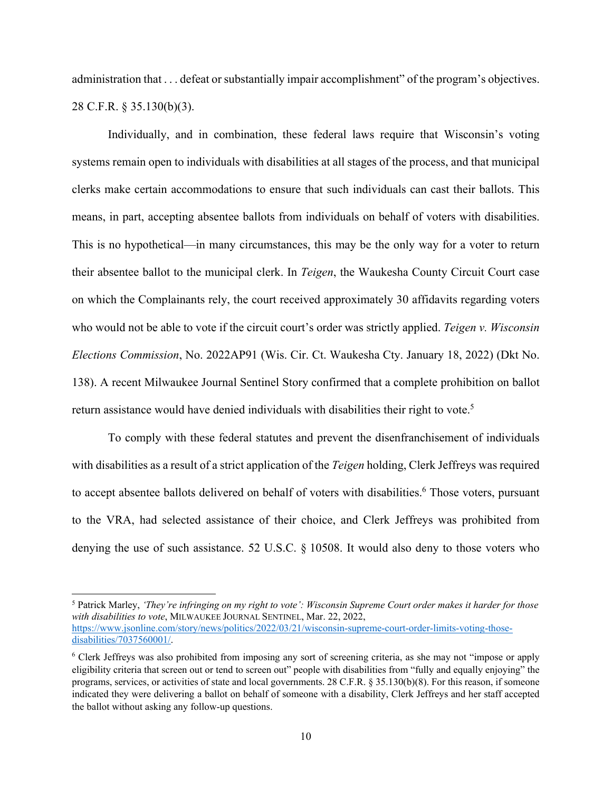administration that . . . defeat or substantially impair accomplishment" of the program's objectives. 28 C.F.R. § 35.130(b)(3).

Individually, and in combination, these federal laws require that Wisconsin's voting systems remain open to individuals with disabilities at all stages of the process, and that municipal clerks make certain accommodations to ensure that such individuals can cast their ballots. This means, in part, accepting absentee ballots from individuals on behalf of voters with disabilities. This is no hypothetical—in many circumstances, this may be the only way for a voter to return their absentee ballot to the municipal clerk. In *Teigen*, the Waukesha County Circuit Court case on which the Complainants rely, the court received approximately 30 affidavits regarding voters who would not be able to vote if the circuit court's order was strictly applied. *Teigen v. Wisconsin Elections Commission*, No. 2022AP91 (Wis. Cir. Ct. Waukesha Cty. January 18, 2022) (Dkt No. 138). A recent Milwaukee Journal Sentinel Story confirmed that a complete prohibition on ballot return assistance would have denied individuals with disabilities their right to vote.<sup>5</sup>

To comply with these federal statutes and prevent the disenfranchisement of individuals with disabilities as a result of a strict application of the *Teigen* holding, Clerk Jeffreys was required to accept absentee ballots delivered on behalf of voters with disabilities.<sup>6</sup> Those voters, pursuant to the VRA, had selected assistance of their choice, and Clerk Jeffreys was prohibited from denying the use of such assistance. 52 U.S.C. § 10508. It would also deny to those voters who

5 Patrick Marley, *'They're infringing on my right to vote': Wisconsin Supreme Court order makes it harder for those with disabilities to vote*, MILWAUKEE JOURNAL SENTINEL, Mar. 22, 2022, https://www.jsonline.com/story/news/politics/2022/03/21/wisconsin-supreme-court-order-limits-voting-thosedisabilities/7037560001/.

<sup>6</sup> Clerk Jeffreys was also prohibited from imposing any sort of screening criteria, as she may not "impose or apply eligibility criteria that screen out or tend to screen out" people with disabilities from "fully and equally enjoying" the programs, services, or activities of state and local governments. 28 C.F.R. § 35.130(b)(8). For this reason, if someone indicated they were delivering a ballot on behalf of someone with a disability, Clerk Jeffreys and her staff accepted the ballot without asking any follow-up questions.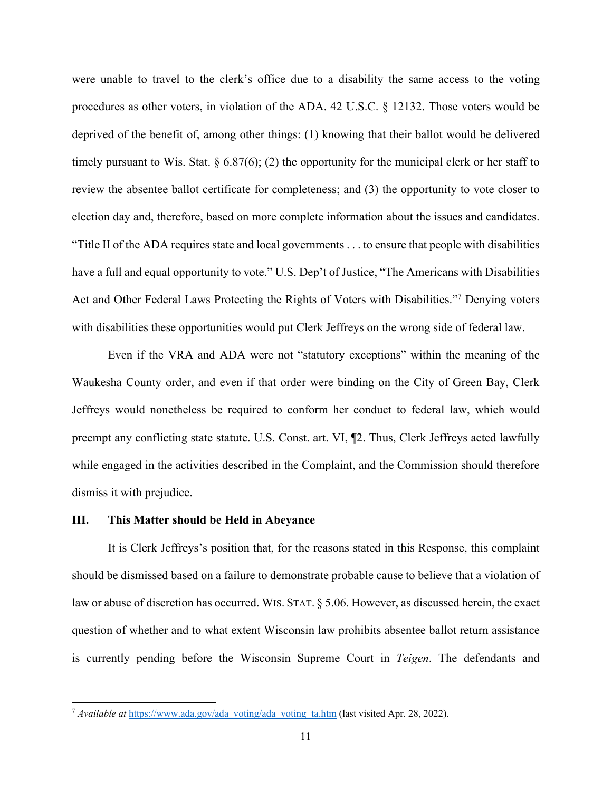were unable to travel to the clerk's office due to a disability the same access to the voting procedures as other voters, in violation of the ADA. 42 U.S.C. § 12132. Those voters would be deprived of the benefit of, among other things: (1) knowing that their ballot would be delivered timely pursuant to Wis. Stat.  $\S 6.87(6)$ ; (2) the opportunity for the municipal clerk or her staff to review the absentee ballot certificate for completeness; and (3) the opportunity to vote closer to election day and, therefore, based on more complete information about the issues and candidates. "Title II of the ADA requires state and local governments . . . to ensure that people with disabilities have a full and equal opportunity to vote." U.S. Dep't of Justice, "The Americans with Disabilities Act and Other Federal Laws Protecting the Rights of Voters with Disabilities."<sup>7</sup> Denying voters with disabilities these opportunities would put Clerk Jeffreys on the wrong side of federal law.

Even if the VRA and ADA were not "statutory exceptions" within the meaning of the Waukesha County order, and even if that order were binding on the City of Green Bay, Clerk Jeffreys would nonetheless be required to conform her conduct to federal law, which would preempt any conflicting state statute. U.S. Const. art. VI, ¶2. Thus, Clerk Jeffreys acted lawfully while engaged in the activities described in the Complaint, and the Commission should therefore dismiss it with prejudice.

## **III. This Matter should be Held in Abeyance**

It is Clerk Jeffreys's position that, for the reasons stated in this Response, this complaint should be dismissed based on a failure to demonstrate probable cause to believe that a violation of law or abuse of discretion has occurred. WIS. STAT. § 5.06. However, as discussed herein, the exact question of whether and to what extent Wisconsin law prohibits absentee ballot return assistance is currently pending before the Wisconsin Supreme Court in *Teigen*. The defendants and

<sup>7</sup> *Available at* https://www.ada.gov/ada\_voting/ada\_voting\_ta.htm (last visited Apr. 28, 2022).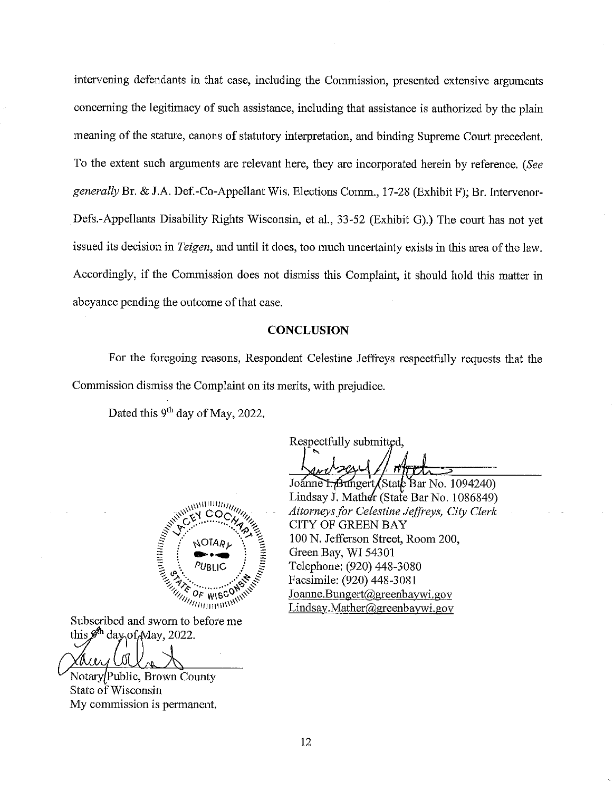intervening defendants in that case, including the Commission, presented extensive arguments concerning the legitimacy of such assistance, including that assistance is authorized by the plain meaning of the statute, canons of statutory interpretation, and binding Supreme Court precedent. To the extent such arguments are relevant here, they are incorporated herein by reference. (See generally Br. & J.A. Def.-Co-Appellant Wis. Elections Comm., 17-28 (Exhibit F); Br. Intervenor-Defs.-Appellants Disability Rights Wisconsin, et al., 33-52 (Exhibit G).) The court has not yet issued its decision in *Teigen*, and until it does, too much uncertainty exists in this area of the law. Accordingly, if the Commission does not dismiss this Complaint, it should hold this matter in abeyance pending the outcome of that case.

### **CONCLUSION**

For the foregoing reasons, Respondent Celestine Jeffreys respectfully requests that the Commission dismiss the Complaint on its merits, with prejudice.

Dated this 9<sup>th</sup> day of May, 2022.

Respectfully submitted,

Joanne L. Bungert / State Bar No. 1094240) Lindsay J. Mather (State Bar No. 1086849) Attorneys for Celestine Jeffreys, City Clerk **CITY OF GREEN BAY** 100 N. Jefferson Street, Room 200, Green Bay, WI 54301 Telephone: (920) 448-3080 Facsimile: (920) 448-3081 Joanne.Bungert@greenbaywi.gov Lindsay.Mather@greenbaywi.gov



 $\mathbf{y}_{i}^{(l)}\mathbf{q}_{i}^{(l)}$ 

Notary/Public, Brown County State of Wisconsin My commission is permanent.